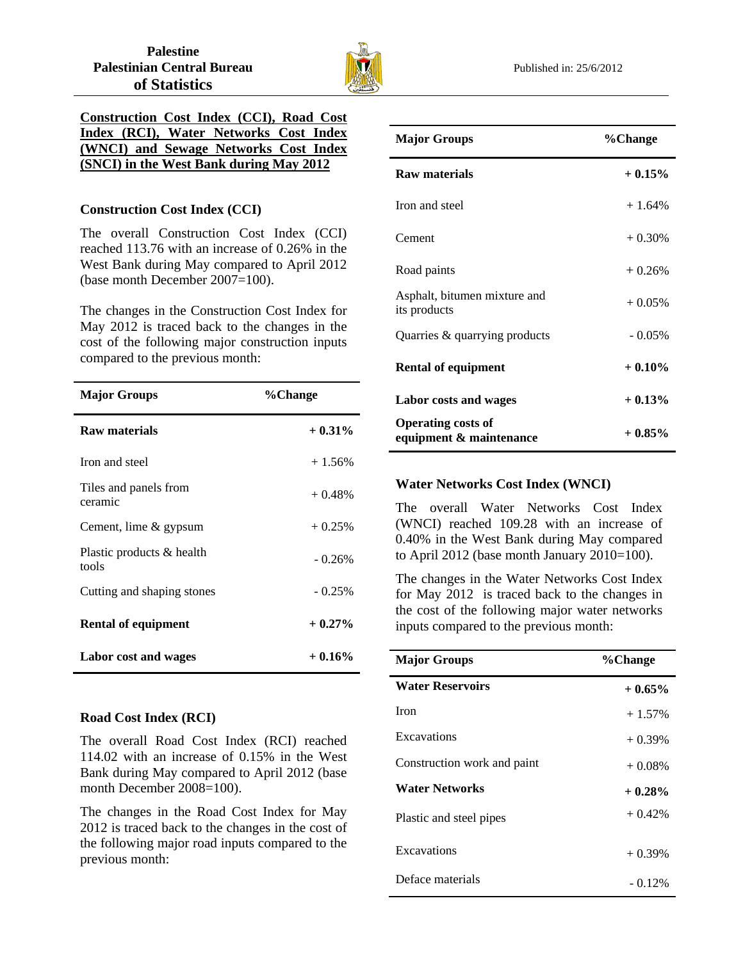

# **Construction Cost Index (CCI), Road Cost Index (RCI), Water Networks Cost Index (WNCI) and Sewage Networks Cost Index (SNCI) in the West Bank during May 2012**

## **Construction Cost Index (CCI)**

The overall Construction Cost Index (CCI) reached 113.76 with an increase of 0.26% in the West Bank during May compared to April 2012 (base month December 2007=100).

The changes in the Construction Cost Index for May 2012 is traced back to the changes in the cost of the following major construction inputs compared to the previous month:

| <b>Major Groups</b>                | %Change   |
|------------------------------------|-----------|
| <b>Raw materials</b>               | $+0.31\%$ |
| Iron and steel                     | $+1.56%$  |
| Tiles and panels from<br>ceramic   | $+0.48%$  |
| Cement, lime & gypsum              | $+0.25%$  |
| Plastic products & health<br>tools | $-0.26%$  |
| Cutting and shaping stones         | $-0.25%$  |
| <b>Rental of equipment</b>         | $+0.27\%$ |
| Labor cost and wages               | $+0.16%$  |

#### **Road Cost Index (RCI)**

The overall Road Cost Index (RCI) reached 114.02 with an increase of 0.15% in the West Bank during May compared to April 2012 (base month December 2008=100).

The changes in the Road Cost Index for May 2012 is traced back to the changes in the cost of the following major road inputs compared to the previous month:

| <b>Major Groups</b>                                  | %Change   |
|------------------------------------------------------|-----------|
| <b>Raw materials</b>                                 | $+0.15%$  |
| Iron and steel                                       | $+1.64%$  |
| Cement                                               | $+0.30%$  |
| Road paints                                          | $+0.26%$  |
| Asphalt, bitumen mixture and<br>its products         | $+0.05%$  |
| Quarries & quarrying products                        | $-0.05%$  |
| <b>Rental of equipment</b>                           | $+0.10%$  |
| Labor costs and wages                                | $+0.13%$  |
| <b>Operating costs of</b><br>equipment & maintenance | $+0.85\%$ |

### **Water Networks Cost Index (WNCI)**

The overall Water Networks Cost Index (WNCI) reached 109.28 with an increase of 0.40% in the West Bank during May compared to April 2012 (base month January 2010=100).

The changes in the Water Networks Cost Index for May 2012 is traced back to the changes in the cost of the following major water networks inputs compared to the previous month:

| <b>Major Groups</b>         | %Change   |
|-----------------------------|-----------|
| <b>Water Reservoirs</b>     | $+0.65%$  |
| <b>Iron</b>                 | $+1.57\%$ |
| Excavations                 | $+0.39\%$ |
| Construction work and paint | $+0.08%$  |
| <b>Water Networks</b>       | $+0.28%$  |
| Plastic and steel pipes     | $+0.42%$  |
| Excavations                 | $+0.39%$  |
| Deface materials            | $-0.12\%$ |